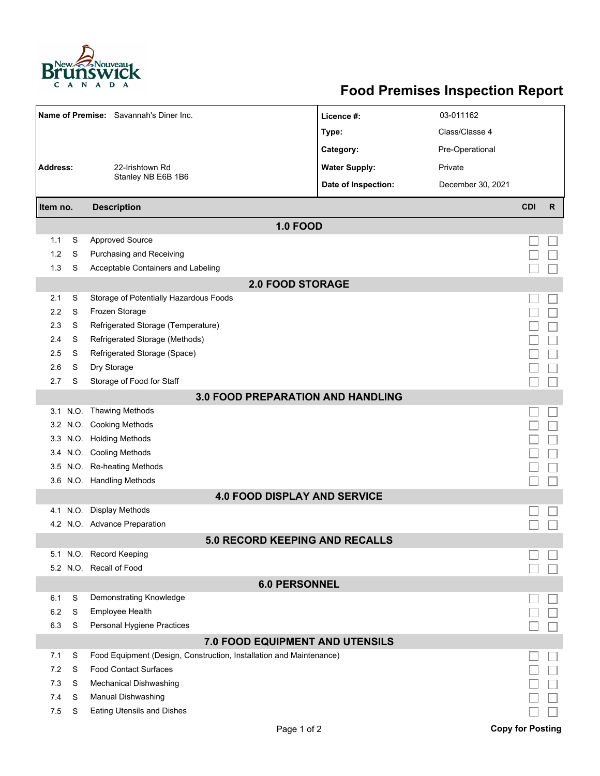

## **Food Premises Inspection Report**

|                                          |   | Name of Premise: Savannah's Diner Inc.                              | Licence #:           | 03-011162         |                         |              |  |  |  |  |
|------------------------------------------|---|---------------------------------------------------------------------|----------------------|-------------------|-------------------------|--------------|--|--|--|--|
|                                          |   |                                                                     | Type:                | Class/Classe 4    |                         |              |  |  |  |  |
|                                          |   |                                                                     | Category:            | Pre-Operational   |                         |              |  |  |  |  |
| <b>Address:</b><br>22-Irishtown Rd       |   |                                                                     | <b>Water Supply:</b> | Private           |                         |              |  |  |  |  |
|                                          |   | Stanley NB E6B 1B6                                                  | Date of Inspection:  |                   |                         |              |  |  |  |  |
|                                          |   |                                                                     |                      | December 30, 2021 |                         |              |  |  |  |  |
| Item no.                                 |   | <b>Description</b>                                                  |                      |                   | <b>CDI</b>              | $\mathsf{R}$ |  |  |  |  |
|                                          |   | <b>1.0 FOOD</b>                                                     |                      |                   |                         |              |  |  |  |  |
| 1.1                                      | S | <b>Approved Source</b>                                              |                      |                   |                         |              |  |  |  |  |
| 1.2                                      | S | Purchasing and Receiving                                            |                      |                   |                         |              |  |  |  |  |
| 1.3                                      | S | Acceptable Containers and Labeling                                  |                      |                   |                         |              |  |  |  |  |
| <b>2.0 FOOD STORAGE</b>                  |   |                                                                     |                      |                   |                         |              |  |  |  |  |
| 2.1                                      | S | Storage of Potentially Hazardous Foods                              |                      |                   |                         |              |  |  |  |  |
| 2.2                                      | S | Frozen Storage                                                      |                      |                   |                         |              |  |  |  |  |
| 2.3                                      | S | Refrigerated Storage (Temperature)                                  |                      |                   |                         |              |  |  |  |  |
| 2.4                                      | S | Refrigerated Storage (Methods)                                      |                      |                   |                         |              |  |  |  |  |
| 2.5                                      | S | Refrigerated Storage (Space)                                        |                      |                   |                         |              |  |  |  |  |
| 2.6                                      | S | Dry Storage                                                         |                      |                   |                         |              |  |  |  |  |
| 2.7                                      | S | Storage of Food for Staff                                           |                      |                   |                         |              |  |  |  |  |
| <b>3.0 FOOD PREPARATION AND HANDLING</b> |   |                                                                     |                      |                   |                         |              |  |  |  |  |
|                                          |   | 3.1 N.O. Thawing Methods                                            |                      |                   |                         |              |  |  |  |  |
|                                          |   | 3.2 N.O. Cooking Methods                                            |                      |                   |                         |              |  |  |  |  |
|                                          |   | 3.3 N.O. Holding Methods                                            |                      |                   |                         |              |  |  |  |  |
|                                          |   | 3.4 N.O. Cooling Methods                                            |                      |                   |                         |              |  |  |  |  |
| 3.5                                      |   | N.O. Re-heating Methods                                             |                      |                   |                         |              |  |  |  |  |
|                                          |   | 3.6 N.O. Handling Methods                                           |                      |                   |                         |              |  |  |  |  |
|                                          |   | <b>4.0 FOOD DISPLAY AND SERVICE</b>                                 |                      |                   |                         |              |  |  |  |  |
|                                          |   | 4.1 N.O. Display Methods                                            |                      |                   |                         |              |  |  |  |  |
|                                          |   | 4.2 N.O. Advance Preparation                                        |                      |                   |                         |              |  |  |  |  |
|                                          |   | <b>5.0 RECORD KEEPING AND RECALLS</b>                               |                      |                   |                         |              |  |  |  |  |
|                                          |   | 5.1 N.O. Record Keeping                                             |                      |                   |                         |              |  |  |  |  |
|                                          |   | 5.2 N.O. Recall of Food                                             |                      |                   |                         |              |  |  |  |  |
| <b>6.0 PERSONNEL</b>                     |   |                                                                     |                      |                   |                         |              |  |  |  |  |
| 6.1                                      | S | Demonstrating Knowledge                                             |                      |                   |                         |              |  |  |  |  |
| 6.2                                      | S | Employee Health                                                     |                      |                   |                         |              |  |  |  |  |
| 6.3                                      | S | Personal Hygiene Practices                                          |                      |                   |                         |              |  |  |  |  |
|                                          |   | 7.0 FOOD EQUIPMENT AND UTENSILS                                     |                      |                   |                         |              |  |  |  |  |
| 7.1                                      | S | Food Equipment (Design, Construction, Installation and Maintenance) |                      |                   |                         |              |  |  |  |  |
| 7.2                                      | S | <b>Food Contact Surfaces</b>                                        |                      |                   |                         |              |  |  |  |  |
| 7.3                                      | S | <b>Mechanical Dishwashing</b>                                       |                      |                   |                         |              |  |  |  |  |
| 7.4                                      | S | Manual Dishwashing                                                  |                      |                   |                         |              |  |  |  |  |
| 7.5                                      | S | <b>Eating Utensils and Dishes</b>                                   |                      |                   |                         |              |  |  |  |  |
|                                          |   | Page 1 of 2                                                         |                      |                   | <b>Copy for Posting</b> |              |  |  |  |  |